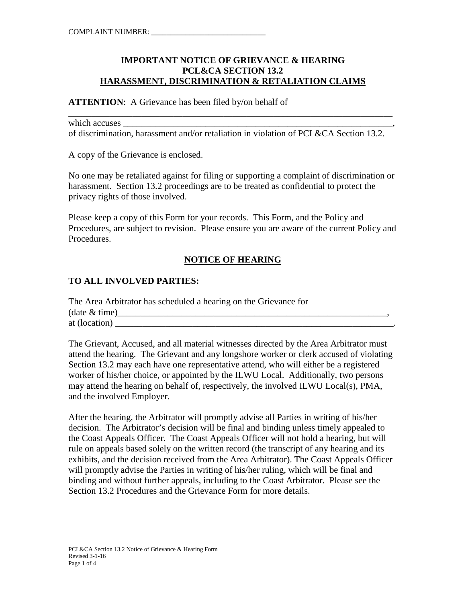## **IMPORTANT NOTICE OF GRIEVANCE & HEARING PCL&CA SECTION 13.2 HARASSMENT, DISCRIMINATION & RETALIATION CLAIMS**

**ATTENTION:** A Grievance has been filed by/on behalf of

| which accuses                                                                         |
|---------------------------------------------------------------------------------------|
| of discrimination, harassment and/or retaliation in violation of PCL&CA Section 13.2. |

A copy of the Grievance is enclosed.

No one may be retaliated against for filing or supporting a complaint of discrimination or harassment. Section 13.2 proceedings are to be treated as confidential to protect the privacy rights of those involved.

Please keep a copy of this Form for your records. This Form, and the Policy and Procedures, are subject to revision. Please ensure you are aware of the current Policy and Procedures.

# **NOTICE OF HEARING**

## **TO ALL INVOLVED PARTIES:**

| The Area Arbitrator has scheduled a hearing on the Grievance for |  |
|------------------------------------------------------------------|--|
| (date $&$ time)                                                  |  |
| at (location)                                                    |  |

The Grievant, Accused, and all material witnesses directed by the Area Arbitrator must attend the hearing. The Grievant and any longshore worker or clerk accused of violating Section 13.2 may each have one representative attend, who will either be a registered worker of his/her choice, or appointed by the ILWU Local. Additionally, two persons may attend the hearing on behalf of, respectively, the involved ILWU Local(s), PMA, and the involved Employer.

After the hearing, the Arbitrator will promptly advise all Parties in writing of his/her decision. The Arbitrator's decision will be final and binding unless timely appealed to the Coast Appeals Officer. The Coast Appeals Officer will not hold a hearing, but will rule on appeals based solely on the written record (the transcript of any hearing and its exhibits, and the decision received from the Area Arbitrator). The Coast Appeals Officer will promptly advise the Parties in writing of his/her ruling, which will be final and binding and without further appeals, including to the Coast Arbitrator. Please see the Section 13.2 Procedures and the Grievance Form for more details.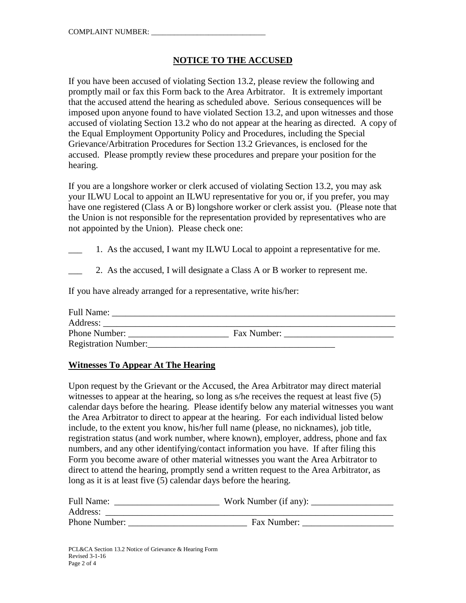## **NOTICE TO THE ACCUSED**

If you have been accused of violating Section 13.2, please review the following and promptly mail or fax this Form back to the Area Arbitrator. It is extremely important that the accused attend the hearing as scheduled above. Serious consequences will be imposed upon anyone found to have violated Section 13.2, and upon witnesses and those accused of violating Section 13.2 who do not appear at the hearing as directed. A copy of the Equal Employment Opportunity Policy and Procedures, including the Special Grievance/Arbitration Procedures for Section 13.2 Grievances, is enclosed for the accused. Please promptly review these procedures and prepare your position for the hearing.

If you are a longshore worker or clerk accused of violating Section 13.2, you may ask your ILWU Local to appoint an ILWU representative for you or, if you prefer, you may have one registered (Class A or B) longshore worker or clerk assist you. (Please note that the Union is not responsible for the representation provided by representatives who are not appointed by the Union). Please check one:

- \_\_\_ 1. As the accused, I want my ILWU Local to appoint a representative for me.
- \_\_\_ 2. As the accused, I will designate a Class A or B worker to represent me.

If you have already arranged for a representative, write his/her:

| <b>Full Name:</b>           |             |  |
|-----------------------------|-------------|--|
| Address:                    |             |  |
| Phone Number:               | Fax Number: |  |
| <b>Registration Number:</b> |             |  |

### **Witnesses To Appear At The Hearing**

Upon request by the Grievant or the Accused, the Area Arbitrator may direct material witnesses to appear at the hearing, so long as s/he receives the request at least five (5) calendar days before the hearing. Please identify below any material witnesses you want the Area Arbitrator to direct to appear at the hearing. For each individual listed below include, to the extent you know, his/her full name (please, no nicknames), job title, registration status (and work number, where known), employer, address, phone and fax numbers, and any other identifying/contact information you have. If after filing this Form you become aware of other material witnesses you want the Area Arbitrator to direct to attend the hearing, promptly send a written request to the Area Arbitrator, as long as it is at least five (5) calendar days before the hearing.

| <b>Full Name:</b> | Work Number (if any): |
|-------------------|-----------------------|
| Address:          |                       |
| Phone Number:     | Fax Number:           |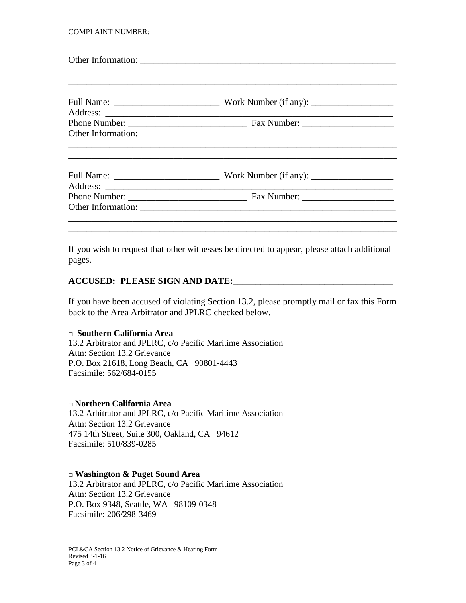If you wish to request that other witnesses be directed to appear, please attach additional pages.

## **ACCUSED: PLEASE SIGN AND DATE:\_\_\_\_\_\_\_\_\_\_\_\_\_\_\_\_\_\_\_\_\_\_\_\_\_\_\_\_\_\_\_\_\_\_\_**

If you have been accused of violating Section 13.2, please promptly mail or fax this Form back to the Area Arbitrator and JPLRC checked below.

#### □ **Southern California Area**

13.2 Arbitrator and JPLRC, c/o Pacific Maritime Association Attn: Section 13.2 Grievance P.O. Box 21618, Long Beach, CA 90801-4443 Facsimile: 562/684-0155

#### □ **Northern California Area**

13.2 Arbitrator and JPLRC, c/o Pacific Maritime Association Attn: Section 13.2 Grievance 475 14th Street, Suite 300, Oakland, CA 94612 Facsimile: 510/839-0285

#### □ **Washington & Puget Sound Area**

13.2 Arbitrator and JPLRC, c/o Pacific Maritime Association Attn: Section 13.2 Grievance P.O. Box 9348, Seattle, WA 98109-0348 Facsimile: 206/298-3469